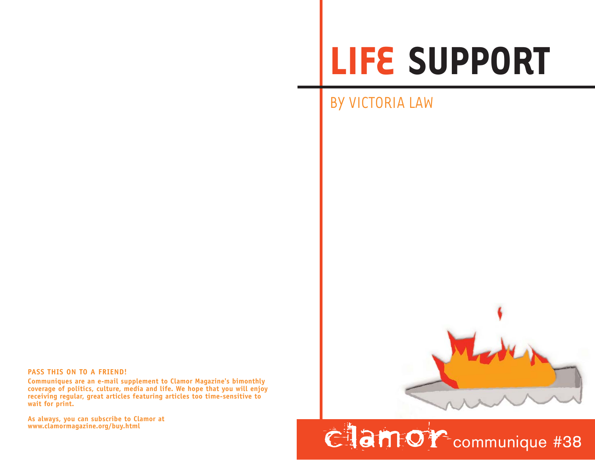## **LIFE SUPPORT**

## BY VICTORIA LAW



**Communiques are an e-mail supplement to Clamor Magazine's bimonthly coverage of politics, culture, media and life. We hope that you will enjoy receiving regular, great articles featuring articles too time-sensitive to wait for print.** 

**As always, you can subscribe to Clamor at**



**Clamor** communique #38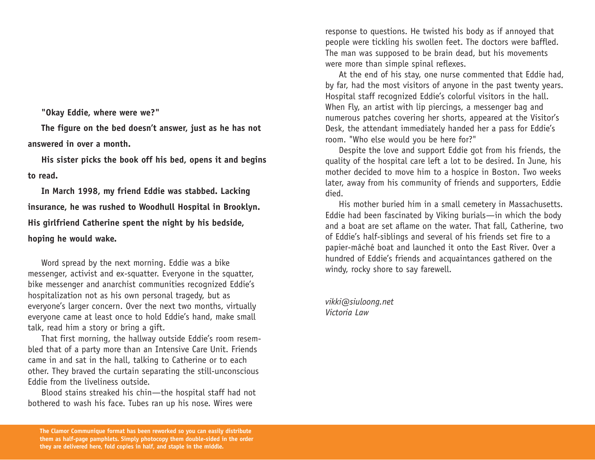**"Okay Eddie, where were we?"**

**The figure on the bed doesn't answer, just as he has not answered in over a month.**

**His sister picks the book off his bed, opens it and begins to read.**

**In March 1998, my friend Eddie was stabbed. Lacking insurance, he was rushed to Woodhull Hospital in Brooklyn. His girlfriend Catherine spent the night by his bedside, hoping he would wake.**

Word spread by the next morning. Eddie was a bike messenger, activist and ex-squatter. Everyone in the squatter, bike messenger and anarchist communities recognized Eddie's hospitalization not as his own personal tragedy, but as everyone's larger concern. Over the next two months, virtually everyone came at least once to hold Eddie's hand, make small talk, read him a story or bring a gift.

That first morning, the hallway outside Eddie's room resembled that of a party more than an Intensive Care Unit. Friends came in and sat in the hall, talking to Catherine or to each other. They braved the curtain separating the still-unconscious Eddie from the liveliness outside.

Blood stains streaked his chin—the hospital staff had not bothered to wash his face. Tubes ran up his nose. Wires were

response to questions. He twisted his body as if annoyed that people were tickling his swollen feet. The doctors were baffled. The man was supposed to be brain dead, but his movements were more than simple spinal reflexes.

At the end of his stay, one nurse commented that Eddie had, by far, had the most visitors of anyone in the past twenty years. Hospital staff recognized Eddie's colorful visitors in the hall. When Fly, an artist with lip piercings, a messenger bag and numerous patches covering her shorts, appeared at the Visitor's Desk, the attendant immediately handed her a pass for Eddie's room. "Who else would you be here for?"

Despite the love and support Eddie got from his friends, the quality of the hospital care left a lot to be desired. In June, his mother decided to move him to a hospice in Boston. Two weeks later, away from his community of friends and supporters, Eddie died.

His mother buried him in a small cemetery in Massachusetts. Eddie had been fascinated by Viking burials—in which the body and a boat are set aflame on the water. That fall, Catherine, two of Eddie's half-siblings and several of his friends set fire to a papier-mâché boat and launched it onto the East River. Over a hundred of Eddie's friends and acquaintances gathered on the windy, rocky shore to say farewell.

*vikki@siuloong.net Victoria Law*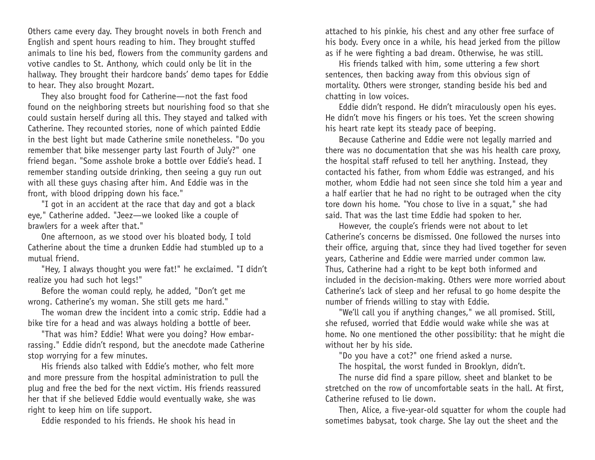Others came every day. They brought novels in both French and English and spent hours reading to him. They brought stuffed animals to line his bed, flowers from the community gardens and votive candles to St. Anthony, which could only be lit in the hallway. They brought their hardcore bands' demo tapes for Eddie to hear. They also brought Mozart.

They also brought food for Catherine—not the fast food found on the neighboring streets but nourishing food so that she could sustain herself during all this. They stayed and talked with Catherine. They recounted stories, none of which painted Eddie in the best light but made Catherine smile nonetheless. "Do you re member that bike messenger party last Fourth of July?" one friend began. "Some asshole broke a bottle over Eddie's head. I re member standing outside drinking, then seeing a guy run out with all these guys chasing after him. And Eddie was in the front, with blood dripping down his face."

"I got in an accident at the race that day and got a black eye," Catherine added. "Jeez—we looked like a couple of brawlers for a week after that."

One afternoon, as we stood over his bloated body, I told Catherine about the time a drunken Eddie had stumbled up to a mutual friend.

"Hey, I always thought you were fat!" he exclaimed. "I didn't realize you had such hot legs!"

Before the woman could reply, he added, "Don't get me wrong. Catherine's my woman. She still gets me hard."

The woman drew the incident into a comic strip. Eddie had a bike tire for a head and was always holding a bottle of beer.

"That was him? Eddie! What were you doing? How embarrassing." Eddie didn't respond, but the anecdote made Catherine stop worrying for a few minutes.

His friends also talked with Eddie's mother, who felt more and more pressure from the hospital administration to pull the plug and free the bed for the next victim. His friends reassured her that if she believed Eddie would eventually wake, she was right to keep him on life support.

Eddie responded to his friends. He shook his head in

attached to his pinkie, his chest and any other free surface of his body. Every once in a while, his head jerked from the pillow as if he were fighting a bad dream. Otherwise, he was still.

His friends talked with him, some uttering a few short sentences, then backing away from this obvious sign of mortality. Others were stronger, standing beside his bed and chatting in low voices.

Eddie didn't respond. He didn't miraculously open his eyes. He didn't move his fingers or his toes. Yet the screen showing his heart rate kept its steady pace of beeping.

Because Catherine and Eddie were not legally married and there was no documentation that she was his health care proxy, the hospital staff refused to tell her anything. Instead, they contacted his father, from whom Eddie was estranged, and his mother, whom Eddie had not seen since she told him a year and a half earlier that he had no right to be outraged when the city tore down his home. "You chose to live in a squat," she had said. That was the last time Eddie had spoken to her.

However, the couple's friends were not about to let Catherine's concerns be dismissed. One followed the nurses into their office, arguing that, since they had lived together for seven years, Catherine and Eddie were married under common law. Thus, Catherine had a right to be kept both informed and included in the decision-making. Others were more worried about Catherine's lack of sleep and her refusal to go home despite the number of friends willing to stay with Eddie.

"We'll call you if anything changes," we all promised. Still, she refused, worried that Eddie would wake while she was at home. No one mentioned the other possibility: that he might die without her by his side.

"Do you have a cot?" one friend asked a nurse.

The hospital, the worst funded in Brooklyn, didn't.

The nurse did find a spare pillow, sheet and blanket to be stretched on the row of uncomfortable seats in the hall. At first, Catherine refused to lie down.

Then, Alice, a five-year-old squatter for whom the couple had sometimes babysat, took charge. She lay out the sheet and the